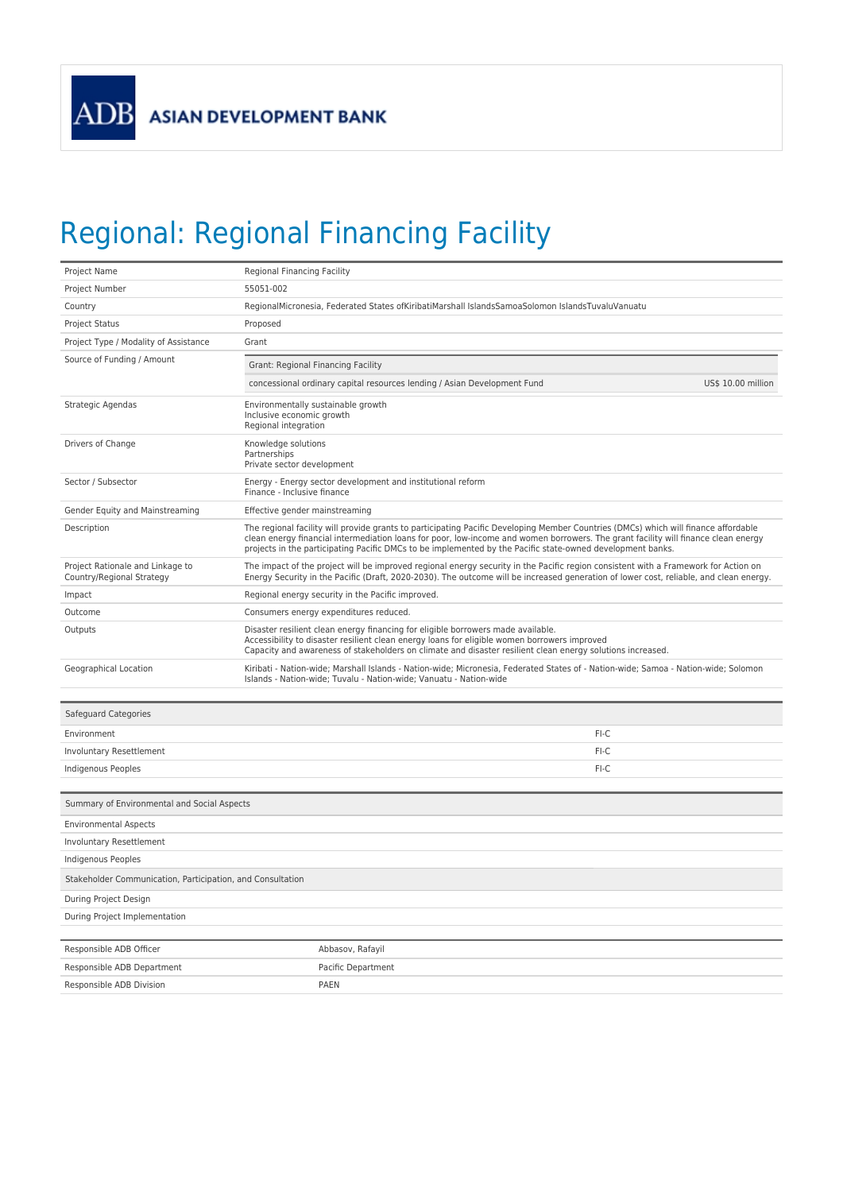## Regional: Regional Financing Facility

| Project Name                                                  | Regional Financing Facility                                                                                                                                                                                                                                                                                                                                                             |  |  |
|---------------------------------------------------------------|-----------------------------------------------------------------------------------------------------------------------------------------------------------------------------------------------------------------------------------------------------------------------------------------------------------------------------------------------------------------------------------------|--|--|
| Project Number                                                | 55051-002                                                                                                                                                                                                                                                                                                                                                                               |  |  |
| Country                                                       | RegionalMicronesia, Federated States ofKiribatiMarshall IslandsSamoaSolomon IslandsTuvaluVanuatu                                                                                                                                                                                                                                                                                        |  |  |
| Project Status                                                | Proposed                                                                                                                                                                                                                                                                                                                                                                                |  |  |
| Project Type / Modality of Assistance                         | Grant                                                                                                                                                                                                                                                                                                                                                                                   |  |  |
| Source of Funding / Amount                                    | Grant: Regional Financing Facility                                                                                                                                                                                                                                                                                                                                                      |  |  |
|                                                               | US\$ 10.00 million<br>concessional ordinary capital resources lending / Asian Development Fund                                                                                                                                                                                                                                                                                          |  |  |
| Strategic Agendas                                             | Environmentally sustainable growth<br>Inclusive economic growth<br>Regional integration                                                                                                                                                                                                                                                                                                 |  |  |
| Drivers of Change                                             | Knowledge solutions<br>Partnerships<br>Private sector development                                                                                                                                                                                                                                                                                                                       |  |  |
| Sector / Subsector                                            | Energy - Energy sector development and institutional reform<br>Finance - Inclusive finance                                                                                                                                                                                                                                                                                              |  |  |
| Gender Equity and Mainstreaming                               | Effective gender mainstreaming                                                                                                                                                                                                                                                                                                                                                          |  |  |
| Description                                                   | The regional facility will provide grants to participating Pacific Developing Member Countries (DMCs) which will finance affordable<br>clean energy financial intermediation loans for poor, low-income and women borrowers. The grant facility will finance clean energy<br>projects in the participating Pacific DMCs to be implemented by the Pacific state-owned development banks. |  |  |
| Project Rationale and Linkage to<br>Country/Regional Strategy | The impact of the project will be improved regional energy security in the Pacific region consistent with a Framework for Action on<br>Energy Security in the Pacific (Draft, 2020-2030). The outcome will be increased generation of lower cost, reliable, and clean energy.                                                                                                           |  |  |
| Impact                                                        | Regional energy security in the Pacific improved.                                                                                                                                                                                                                                                                                                                                       |  |  |
| Outcome                                                       | Consumers energy expenditures reduced.                                                                                                                                                                                                                                                                                                                                                  |  |  |
| Outputs                                                       | Disaster resilient clean energy financing for eligible borrowers made available.<br>Accessibility to disaster resilient clean energy loans for eligible women borrowers improved<br>Capacity and awareness of stakeholders on climate and disaster resilient clean energy solutions increased.                                                                                          |  |  |
| Geographical Location                                         | Kiribati - Nation-wide; Marshall Islands - Nation-wide; Micronesia, Federated States of - Nation-wide; Samoa - Nation-wide; Solomon<br>Islands - Nation-wide; Tuvalu - Nation-wide; Vanuatu - Nation-wide                                                                                                                                                                               |  |  |
| Safeguard Categories                                          |                                                                                                                                                                                                                                                                                                                                                                                         |  |  |
| Environment                                                   | $FI-C$                                                                                                                                                                                                                                                                                                                                                                                  |  |  |
| Involuntary Resettlement                                      | FI-C                                                                                                                                                                                                                                                                                                                                                                                    |  |  |
| Indigenous Peoples                                            | FI-C                                                                                                                                                                                                                                                                                                                                                                                    |  |  |
| Summary of Environmental and Social Aspects                   |                                                                                                                                                                                                                                                                                                                                                                                         |  |  |
| <b>Environmental Aspects</b>                                  |                                                                                                                                                                                                                                                                                                                                                                                         |  |  |
| Involuntary Resettlement                                      |                                                                                                                                                                                                                                                                                                                                                                                         |  |  |
| Indigenous Peoples                                            |                                                                                                                                                                                                                                                                                                                                                                                         |  |  |
| Stakeholder Communication, Participation, and Consultation    |                                                                                                                                                                                                                                                                                                                                                                                         |  |  |
| During Project Design                                         |                                                                                                                                                                                                                                                                                                                                                                                         |  |  |
| During Project Implementation                                 |                                                                                                                                                                                                                                                                                                                                                                                         |  |  |
|                                                               |                                                                                                                                                                                                                                                                                                                                                                                         |  |  |
| Responsible ADB Officer                                       | Abbasov, Rafayil                                                                                                                                                                                                                                                                                                                                                                        |  |  |
| Responsible ADB Department                                    | Pacific Department                                                                                                                                                                                                                                                                                                                                                                      |  |  |
| Responsible ADB Division                                      | <b>PAEN</b>                                                                                                                                                                                                                                                                                                                                                                             |  |  |